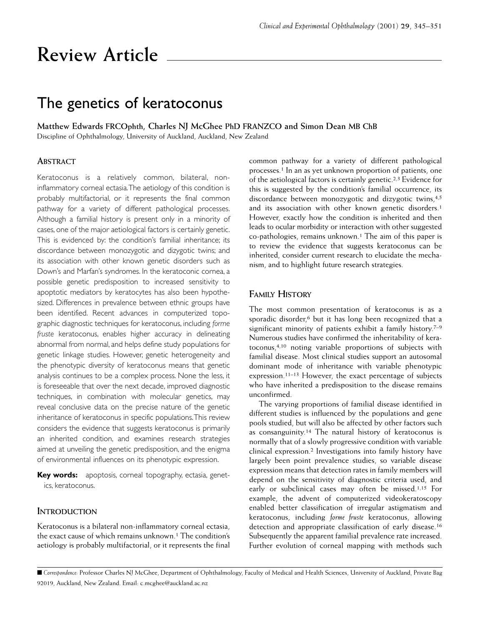# **Review Article**

# The genetics of keratoconus

**Matthew Edwards FRCOphth, Charles NJ McGhee PhD FRANZCO and Simon Dean MB ChB** Discipline of Ophthalmology, University of Auckland, Auckland, New Zealand

# **ABSTRACT**

Keratoconus is a relatively common, bilateral, noninflammatory corneal ectasia.The aetiology of this condition is probably multifactorial, or it represents the final common pathway for a variety of different pathological processes. Although a familial history is present only in a minority of cases, one of the major aetiological factors is certainly genetic. This is evidenced by: the condition's familial inheritance; its discordance between monozygotic and dizygotic twins; and its association with other known genetic disorders such as Down's and Marfan's syndromes. In the keratoconic cornea, a possible genetic predisposition to increased sensitivity to apoptotic mediators by keratocytes has also been hypothesized. Differences in prevalence between ethnic groups have been identified. Recent advances in computerized topographic diagnostic techniques for keratoconus, including *forme fruste* keratoconus, enables higher accuracy in delineating abnormal from normal, and helps define study populations for genetic linkage studies. However, genetic heterogeneity and the phenotypic diversity of keratoconus means that genetic analysis continues to be a complex process. None the less, it is foreseeable that over the next decade, improved diagnostic techniques, in combination with molecular genetics, may reveal conclusive data on the precise nature of the genetic inheritance of keratoconus in specific populations.This review considers the evidence that suggests keratoconus is primarily an inherited condition, and examines research strategies aimed at unveiling the genetic predisposition, and the enigma of environmental influences on its phenotypic expression.

**Key words:** apoptosis, corneal topography, ectasia, genetics, keratoconus.

#### **INTRODUCTION**

Keratoconus is a bilateral non-inflammatory corneal ectasia, the exact cause of which remains unknown.<sup>1</sup> The condition's aetiology is probably multifactorial, or it represents the final common pathway for a variety of different pathological processes.1 In an as yet unknown proportion of patients, one of the aetiological factors is certainly genetic.2,3 Evidence for this is suggested by the condition's familial occurrence, its discordance between monozygotic and dizygotic twins,<sup>4,5</sup> and its association with other known genetic disorders.<sup>1</sup> However, exactly how the condition is inherited and then leads to ocular morbidity or interaction with other suggested co-pathologies, remains unknown.1 The aim of this paper is to review the evidence that suggests keratoconus can be inherited, consider current research to elucidate the mechanism, and to highlight future research strategies.

#### **FAMILY HISTORY**

The most common presentation of keratoconus is as a sporadic disorder,<sup>6</sup> but it has long been recognized that a significant minority of patients exhibit a family history.<sup>7-9</sup> Numerous studies have confirmed the inheritability of keratoconus,4,10 noting variable proportions of subjects with familial disease. Most clinical studies support an autosomal dominant mode of inheritance with variable phenotypic expression.11–13 However, the exact percentage of subjects who have inherited a predisposition to the disease remains unconfirmed.

The varying proportions of familial disease identified in different studies is influenced by the populations and gene pools studied, but will also be affected by other factors such as consanguinity.14 The natural history of keratoconus is normally that of a slowly progressive condition with variable clinical expression.2 Investigations into family history have largely been point prevalence studies, so variable disease expression means that detection rates in family members will depend on the sensitivity of diagnostic criteria used, and early or subclinical cases may often be missed.1,15 For example, the advent of computerized videokeratoscopy enabled better classification of irregular astigmatism and keratoconus, including *forme fruste* keratoconus, allowing detection and appropriate classification of early disease.16 Subsequently the apparent familial prevalence rate increased. Further evolution of corneal mapping with methods such

■ Correspondence: Professor Charles NJ McGhee, Department of Ophthalmology, Faculty of Medical and Health Sciences, University of Auckland, Private Bag 92019, Auckland, New Zealand. Email: c.mcghee@auckland.ac.nz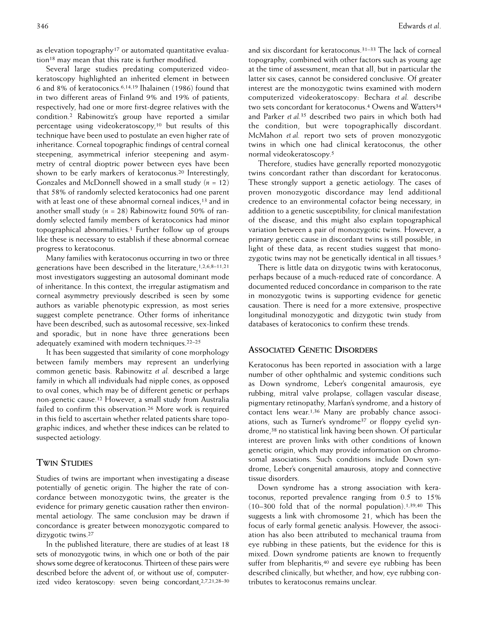as elevation topography<sup>17</sup> or automated quantitative evaluation18 may mean that this rate is further modified.

Several large studies predating computerized videokeratoscopy highlighted an inherited element in between 6 and 8% of keratoconics.6,14,19 Ihalainen (1986) found that in two different areas of Finland 9% and 19% of patients, respectively, had one or more first-degree relatives with the condition.2 Rabinowitz's group have reported a similar percentage using videokeratoscopy,10 but results of this technique have been used to postulate an even higher rate of inheritance. Corneal topographic findings of central corneal steepening, asymmetrical inferior steepening and asymmetry of central dioptric power between eyes have been shown to be early markers of keratoconus.20 Interestingly, Gonzales and McDonnell showed in a small study (*n* = 12) that 58% of randomly selected keratoconics had one parent with at least one of these abnormal corneal indices,<sup>13</sup> and in another small study (*n* = 28) Rabinowitz found 50% of randomly selected family members of keratoconics had minor topographical abnormalities.1 Further follow up of groups like these is necessary to establish if these abnormal corneae progress to keratoconus.

Many families with keratoconus occurring in two or three generations have been described in the literature, 1,2,6,8-11,21 most investigators suggesting an autosomal dominant mode of inheritance. In this context, the irregular astigmatism and corneal asymmetry previously described is seen by some authors as variable phenotypic expression, as most series suggest complete penetrance. Other forms of inheritance have been described, such as autosomal recessive, sex-linked and sporadic, but in none have three generations been adequately examined with modern techniques.22–25

It has been suggested that similarity of cone morphology between family members may represent an underlying common genetic basis. Rabinowitz *et al.* described a large family in which all individuals had nipple cones, as opposed to oval cones, which may be of different genetic or perhaps non-genetic cause.12 However, a small study from Australia failed to confirm this observation.<sup>26</sup> More work is required in this field to ascertain whether related patients share topographic indices, and whether these indices can be related to suspected aetiology.

# **TWIN STUDIES**

Studies of twins are important when investigating a disease potentially of genetic origin. The higher the rate of concordance between monozygotic twins, the greater is the evidence for primary genetic causation rather then environmental aetiology. The same conclusion may be drawn if concordance is greater between monozygotic compared to dizygotic twins.27

In the published literature, there are studies of at least 18 sets of monozygotic twins, in which one or both of the pair shows some degree of keratoconus. Thirteen of these pairs were described before the advent of, or without use of, computerized video keratoscopy: seven being concordant,2,7,21,28–30 and six discordant for keratoconus.<sup>31-33</sup> The lack of corneal topography, combined with other factors such as young age at the time of assessment, mean that all, but in particular the latter six cases, cannot be considered conclusive. Of greater interest are the monozygotic twins examined with modern computerized videokeratoscopy: Bechara *et al.* describe two sets concordant for keratoconus.<sup>4</sup> Owens and Watters<sup>34</sup> and Parker *et al.*<sup>35</sup> described two pairs in which both had the condition, but were topographically discordant. McMahon *et al.* report two sets of proven monozygotic twins in which one had clinical keratoconus, the other normal videokeratoscopy.5

Therefore, studies have generally reported monozygotic twins concordant rather than discordant for keratoconus. These strongly support a genetic aetiology. The cases of proven monozygotic discordance may lend additional credence to an environmental cofactor being necessary, in addition to a genetic susceptibility, for clinical manifestation of the disease, and this might also explain topographical variation between a pair of monozygotic twins. However, a primary genetic cause in discordant twins is still possible, in light of these data, as recent studies suggest that monozygotic twins may not be genetically identical in all tissues.<sup>5</sup>

There is little data on dizygotic twins with keratoconus, perhaps because of a much-reduced rate of concordance. A documented reduced concordance in comparison to the rate in monozygotic twins is supporting evidence for genetic causation. There is need for a more extensive, prospective longitudinal monozygotic and dizygotic twin study from databases of keratoconics to confirm these trends.

#### **ASSOCIATED GENETIC DISORDERS**

Keratoconus has been reported in association with a large number of other ophthalmic and systemic conditions such as Down syndrome, Leber's congenital amaurosis, eye rubbing, mitral valve prolapse, collagen vascular disease, pigmentary retinopathy, Marfan's syndrome, and a history of contact lens wear.1,36 Many are probably chance associations, such as Turner's syndrome<sup>37</sup> or floppy eyelid syndrome,<sup>38</sup> no statistical link having been shown. Of particular interest are proven links with other conditions of known genetic origin, which may provide information on chromosomal associations. Such conditions include Down syndrome, Leber's congenital amaurosis, atopy and connective tissue disorders.

Down syndrome has a strong association with keratoconus, reported prevalence ranging from 0.5 to 15% (10–300 fold that of the normal population).1,39,40 This suggests a link with chromosome 21, which has been the focus of early formal genetic analysis. However, the association has also been attributed to mechanical trauma from eye rubbing in these patients, but the evidence for this is mixed. Down syndrome patients are known to frequently suffer from blepharitis,<sup>40</sup> and severe eye rubbing has been described clinically, but whether, and how, eye rubbing contributes to keratoconus remains unclear.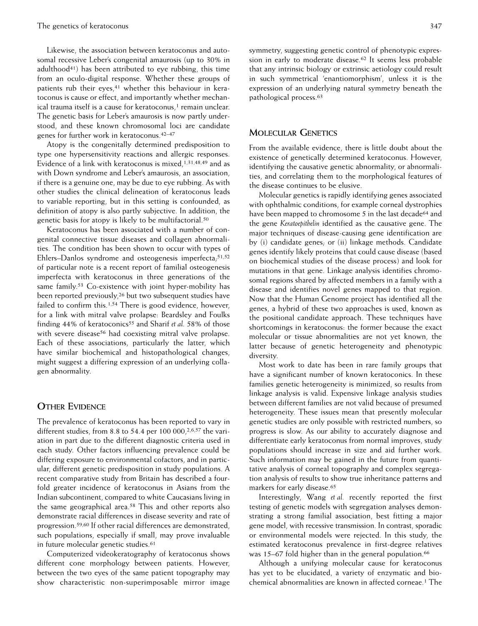Likewise, the association between keratoconus and autosomal recessive Leber's congenital amaurosis (up to 30% in adulthood41) has been attributed to eye rubbing, this time from an oculo-digital response. Whether these groups of patients rub their eyes,<sup>41</sup> whether this behaviour in keratoconus is cause or effect, and importantly whether mechanical trauma itself is a cause for keratoconus,<sup>1</sup> remain unclear. The genetic basis for Leber's amaurosis is now partly understood, and these known chromosomal loci are candidate genes for further work in keratoconus.42–47

Atopy is the congenitally determined predisposition to type one hypersensitivity reactions and allergic responses. Evidence of a link with keratoconus is mixed,1,31,48,49 and as with Down syndrome and Leber's amaurosis, an association, if there is a genuine one, may be due to eye rubbing. As with other studies the clinical delineation of keratoconus leads to variable reporting, but in this setting is confounded, as definition of atopy is also partly subjective. In addition, the genetic basis for atopy is likely to be multifactorial.50

Keratoconus has been associated with a number of congenital connective tissue diseases and collagen abnormalities. The condition has been shown to occur with types of Ehlers–Danlos syndrome and osteogenesis imperfecta;51,52 of particular note is a recent report of familial osteogenesis imperfecta with keratoconus in three generations of the same family.<sup>53</sup> Co-existence with joint hyper-mobility has been reported previously,26 but two subsequent studies have failed to confirm this.<sup>1,54</sup> There is good evidence, however, for a link with mitral valve prolapse: Beardsley and Foulks finding 44% of keratoconics<sup>55</sup> and Sharif *et al.* 58% of those with severe disease<sup>56</sup> had coexisting mitral valve prolapse. Each of these associations, particularly the latter, which have similar biochemical and histopathological changes, might suggest a differing expression of an underlying collagen abnormality.

## **OTHER EVIDENCE**

The prevalence of keratoconus has been reported to vary in different studies, from 8.8 to 54.4 per 100 000,<sup>2,6,57</sup> the variation in part due to the different diagnostic criteria used in each study. Other factors influencing prevalence could be differing exposure to environmental cofactors, and in particular, different genetic predisposition in study populations. A recent comparative study from Britain has described a fourfold greater incidence of keratoconus in Asians from the Indian subcontinent, compared to white Caucasians living in the same geographical area.58 This and other reports also demonstrate racial differences in disease severity and rate of progression.59,60 If other racial differences are demonstrated, such populations, especially if small, may prove invaluable in future molecular genetic studies.<sup>61</sup>

Computerized videokeratography of keratoconus shows different cone morphology between patients. However, between the two eyes of the same patient topography may show characteristic non-superimposable mirror image symmetry, suggesting genetic control of phenotypic expression in early to moderate disease.<sup>62</sup> It seems less probable that any intrinsic biology or extrinsic aetiology could result in such symmetrical 'enantiomorphism', unless it is the expression of an underlying natural symmetry beneath the pathological process.63

### **MOLECULAR GENETICS**

From the available evidence, there is little doubt about the existence of genetically determined keratoconus. However, identifying the causative genetic abnormality, or abnormalities, and correlating them to the morphological features of the disease continues to be elusive.

Molecular genetics is rapidly identifying genes associated with ophthalmic conditions, for example corneal dystrophies have been mapped to chromosome 5 in the last decade<sup>64</sup> and the gene *Keratoepithelin* identified as the causative gene. The major techniques of disease-causing gene identification are by (i) candidate genes; or (ii) linkage methods. Candidate genes identify likely proteins that could cause disease (based on biochemical studies of the disease process) and look for mutations in that gene. Linkage analysis identifies chromosomal regions shared by affected members in a family with a disease and identifies novel genes mapped to that region. Now that the Human Genome project has identified all the genes, a hybrid of these two approaches is used, known as the positional candidate approach. These techniques have shortcomings in keratoconus: the former because the exact molecular or tissue abnormalities are not yet known, the latter because of genetic heterogeneity and phenotypic diversity.

Most work to date has been in rare family groups that have a significant number of known keratoconics. In these families genetic heterogeneity is minimized, so results from linkage analysis is valid. Expensive linkage analysis studies between different families are not valid because of presumed heterogeneity. These issues mean that presently molecular genetic studies are only possible with restricted numbers, so progress is slow. As our ability to accurately diagnose and differentiate early keratoconus from normal improves, study populations should increase in size and aid further work. Such information may be gained in the future from quantitative analysis of corneal topography and complex segregation analysis of results to show true inheritance patterns and markers for early disease.65

Interestingly, Wang *et al.* recently reported the first testing of genetic models with segregation analyses demonstrating a strong familial association, best fitting a major gene model, with recessive transmission. In contrast, sporadic or environmental models were rejected. In this study, the estimated keratoconus prevalence in first-degree relatives was 15–67 fold higher than in the general population.<sup>66</sup>

Although a unifying molecular cause for keratoconus has yet to be elucidated, a variety of enzymatic and biochemical abnormalities are known in affected corneae.1 The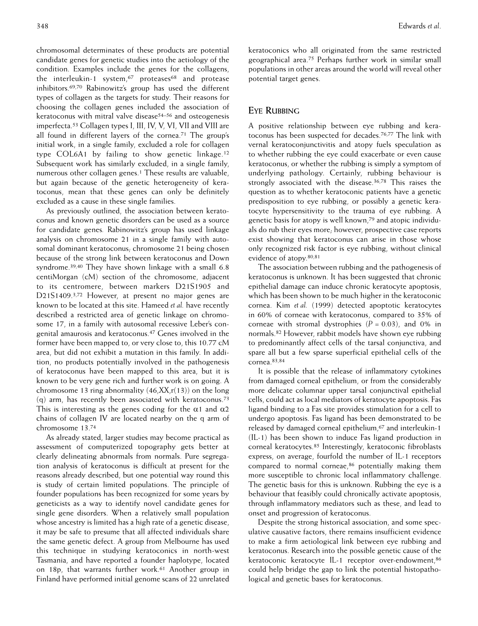chromosomal determinates of these products are potential candidate genes for genetic studies into the aetiology of the condition. Examples include the genes for the collagens, the interleukin-1 system,<sup>67</sup> proteases<sup>68</sup> and protease inhibitors.69,70 Rabinowitz's group has used the different types of collagen as the targets for study. Their reasons for choosing the collagen genes included the association of keratoconus with mitral valve disease $54-56$  and osteogenesis imperfecta.53 Collagen types I, III, IV, V, VI, VII and VIII are all found in different layers of the cornea.71 The group's initial work, in a single family, excluded a role for collagen type COL6A1 by failing to show genetic linkage.12 Subsequent work has similarly excluded, in a single family, numerous other collagen genes.<sup>1</sup> These results are valuable, but again because of the genetic heterogeneity of keratoconus, mean that these genes can only be definitely excluded as a cause in these single families.

As previously outlined, the association between keratoconus and known genetic disorders can be used as a source for candidate genes*.* Rabinowitz's group has used linkage analysis on chromosome 21 in a single family with autosomal dominant keratoconus; chromosome 21 being chosen because of the strong link between keratoconus and Down syndrome.39,40 They have shown linkage with a small 6.8 centiMorgan (cM) section of the chromosome, adjacent to its centromere, between markers D21S1905 and D21S1409.<sup>3,72</sup> However, at present no major genes are known to be located at this site. Hameed *et al.* have recently described a restricted area of genetic linkage on chromosome 17, in a family with autosomal recessive Leber's congenital amaurosis and keratoconus.47 Genes involved in the former have been mapped to, or very close to, this 10.77 cM area, but did not exhibit a mutation in this family. In addition, no products potentially involved in the pathogenesis of keratoconus have been mapped to this area, but it is known to be very gene rich and further work is on going. A chromosome 13 ring abnormality  $(46, XX, r(13))$  on the long (q) arm, has recently been associated with keratoconus.73 This is interesting as the genes coding for the  $\alpha$ 1 and  $\alpha$ 2 chains of collagen IV are located nearby on the q arm of chromosome 13.74

As already stated, larger studies may become practical as assessment of computerized topography gets better at clearly delineating abnormals from normals. Pure segregation analysis of keratoconus is difficult at present for the reasons already described, but one potential way round this is study of certain limited populations. The principle of founder populations has been recognized for some years by geneticists as a way to identify novel candidate genes for single gene disorders. When a relatively small population whose ancestry is limited has a high rate of a genetic disease, it may be safe to presume that all affected individuals share the same genetic defect. A group from Melbourne has used this technique in studying keratoconics in north-west Tasmania, and have reported a founder haplotype, located on 18p, that warrants further work.61 Another group in Finland have performed initial genome scans of 22 unrelated keratoconics who all originated from the same restricted geographical area.75 Perhaps further work in similar small populations in other areas around the world will reveal other potential target genes.

#### **EYE RUBBING**

A positive relationship between eye rubbing and keratoconus has been suspected for decades.76,77 The link with vernal keratoconjunctivitis and atopy fuels speculation as to whether rubbing the eye could exacerbate or even cause keratoconus, or whether the rubbing is simply a symptom of underlying pathology. Certainly, rubbing behaviour is strongly associated with the disease.36,78 This raises the question as to whether keratoconic patients have a genetic predisposition to eye rubbing, or possibly a genetic keratocyte hypersensitivity to the trauma of eye rubbing. A genetic basis for atopy is well known,79 and atopic individuals do rub their eyes more; however, prospective case reports exist showing that keratoconus can arise in those whose only recognized risk factor is eye rubbing, without clinical evidence of atopy.80,81

The association between rubbing and the pathogenesis of keratoconus is unknown. It has been suggested that chronic epithelial damage can induce chronic keratocyte apoptosis, which has been shown to be much higher in the keratoconic cornea. Kim *et al.* (1999) detected apoptotic keratocytes in 60% of corneae with keratoconus, compared to 35% of corneae with stromal dystrophies  $(P = 0.03)$ , and 0% in normals.82 However, rabbit models have shown eye rubbing to predominantly affect cells of the tarsal conjunctiva, and spare all but a few sparse superficial epithelial cells of the cornea.83,84

It is possible that the release of inflammatory cytokines from damaged corneal epithelium, or from the considerably more delicate columnar upper tarsal conjunctival epithelial cells, could act as local mediators of keratocyte apoptosis. Fas ligand binding to a Fas site provides stimulation for a cell to undergo apoptosis. Fas ligand has been demonstrated to be released by damaged corneal epithelium,<sup>67</sup> and interleukin-1 (IL-1) has been shown to induce Fas ligand production in corneal keratocytes.85 Interestingly, keratoconic fibroblasts express, on average, fourfold the number of IL-1 receptors compared to normal corneae,<sup>86</sup> potentially making them more susceptible to chronic local inflammatory challenge. The genetic basis for this is unknown. Rubbing the eye is a behaviour that feasibly could chronically activate apoptosis, through inflammatory mediators such as these, and lead to onset and progression of keratoconus.

Despite the strong historical association, and some speculative causative factors, there remains insufficient evidence to make a firm aetiological link between eye rubbing and keratoconus. Research into the possible genetic cause of the keratoconic keratocyte IL-1 receptor over-endowment, 86 could help bridge the gap to link the potential histopathological and genetic bases for keratoconus.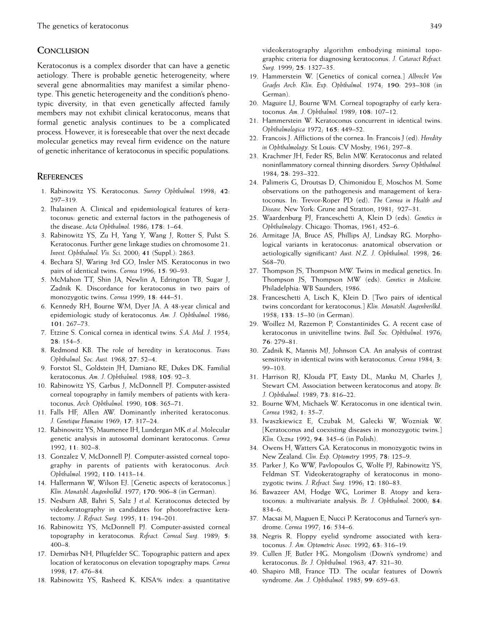#### **CONCLUSION**

Keratoconus is a complex disorder that can have a genetic aetiology. There is probable genetic heterogeneity, where several gene abnormalities may manifest a similar phenotype. This genetic heterogeneity and the condition's phenotypic diversity, in that even genetically affected family members may not exhibit clinical keratoconus, means that formal genetic analysis continues to be a complicated process. However, it is foreseeable that over the next decade molecular genetics may reveal firm evidence on the nature of genetic inheritance of keratoconus in specific populations.

#### **REFERENCES**

- 1. Rabinowitz YS. Keratoconus. *Survey Ophthalmol.* 1998; **42**: 297–319.
- 2. Ihalainen A. Clinical and epidemiological features of keratoconus: genetic and external factors in the pathogenesis of the disease. *Acta Ophthalmol.* 1986; **178**: 1–64.
- 3. Rabinowitz YS, Zu H, Yang Y, Wang J, Rotter S, Pulst S. Keratoconus. Further gene linkage studies on chromosome 21. *Invest. Ophthalmol. Vis. Sci.* 2000; **41** (Suppl.): 2863.
- 4. Bechara SJ, Waring 3rd GO, Insler MS. Keratoconus in two pairs of identical twins. *Cornea* 1996; **15**: 90–93.
- 5. McMahon TT, Shin JA, Newlin A, Edrington TB, Sugar J, Zadnik K. Discordance for keratoconus in two pairs of monozygotic twins. *Cornea* 1999; **18**: 444–51.
- 6. Kennedy RH, Bourne WM, Dyer JA. A 48-year clinical and epidemiologic study of keratoconus. *Am. J. Ophthalmol.* 1986; **101**: 267–73.
- 7. Etzine S. Conical cornea in identical twins. *S.A. Med. J.* 1954; **28**: 154–5.
- 8. Redmond KB. The role of heredity in keratoconus. *Trans Ophthalmol. Soc. Aust.* 1968; **27**: 52–4.
- 9. Forstot SL, Goldstein JH, Damiano RE, Dukes DK. Familial keratoconus. *Am. J. Ophthalmol.* 1988; **105**: 92–3.
- 10. Rabinowitz YS, Garbus J, McDonnell PJ. Computer-assisted corneal topography in family members of patients with keratoconus. *Arch. Ophthalmol.* 1990; **108**: 365–71.
- 11. Falls HF, Allen AW. Dominantly inherited keratoconus. *J. Genetique Humaine* 1969; **17**: 317–24.
- 12. Rabinowitz YS, Maumenee IH, Lundergan MK *et al.* Molecular genetic analysis in autosomal dominant keratoconus. *Cornea* 1992; **11**: 302–8.
- 13. Gonzalez V, McDonnell PJ. Computer-assisted corneal topography in parents of patients with keratoconus. *Arch. Ophthalmol.* 1992; **110**: 1413–14.
- 14. Hallermann W, Wilson EJ. [Genetic aspects of keratoconus.] *Klin. Monatsbl. Augenheilkd.* 1977; **170**: 906–8 (in German).
- 15. Nesburn AB, Bahri S, Salz J *et al.* Keratoconus detected by videokeratography in candidates for photorefractive keratectomy. *J. Refract. Surg.* 1995; **11**: 194–201.
- 16. Rabinowitz YS, McDonnell PJ. Computer-assisted corneal topography in keratoconus. *Refract. Corneal Surg.* 1989; **5**: 400–8.
- 17. Demirbas NH, Pflugfelder SC. Topographic pattern and apex location of keratoconus on elevation topography maps. *Cornea* 1998; **17**: 476–84.
- 18. Rabinowitz YS, Rasheed K. KISA% index: a quantitative

videokeratography algorithm embodying minimal topographic criteria for diagnosing keratoconus. *J. Cataract Refract. Surg.* 1999; **25**: 1327–35.

- 19. Hammerstein W. [Genetics of conical cornea.] *Albrecht Von Graefes Arch. Klin. Exp. Ophthalmol.* 1974; **190**: 293–308 (in German).
- 20. Maguire LJ, Bourne WM. Corneal topography of early keratoconus. *Am. J. Ophthalmol.* 1989; **108**: 107–12.
- 21. Hammerstein W. Keratoconus concurrent in identical twins. *Ophthalmologica* 1972; **165**: 449–52.
- 22. Francois J. Afflictions of the cornea. In: Francois J (ed). *Heredity in Ophthalmology.* St Louis: CV Mosby, 1961; 297–8.
- 23. Krachmer JH, Feder RS, Belin MW. Keratoconus and related noninflammatory corneal thinning disorders. *Survey Ophthalmol.* 1984; **28**: 293–322.
- 24. Palimeris G, Droutsas D, Chimonidou E, Moschos M. Some observations on the pathogenesis and management of keratoconus. In: Trevor-Roper PD (ed). *The Cornea in Health and Disease*. New York: Grune and Stratton, 1981; 927–31.
- 25. Waardenburg PJ, Franceschetti A, Klein D (eds). *Genetics in Ophthalmology*. Chicago: Thomas, 1961; 452–6.
- 26. Armitage JA, Bruce AS, Phillips AJ, Lindsay RG. Morphological variants in keratoconus: anatomical observation or aetiologically significant? *Aust. N.Z. J. Ophthalmol.* 1998; **26**: S68–70.
- 27. Thompson JS, Thompson MW. Twins in medical genetics. In: Thompson JS, Thompson MW (eds). *Genetics in Medicine.* Philadelphia: WB Saunders, 1986.
- 28. Franceschetti A, Lisch K, Klein D. [Two pairs of identical twins concordant for keratoconus.] *Klin. Monatsbl. Augenherilkd*. 1958; **133**: 15–30 (in German).
- 29. Woillez M, Razemon P, Constantinides G. A recent case of keratoconus in univitelline twins. *Bull. Soc. Ophthalmol.* 1976; **76**: 279–81.
- 30. Zadnik K, Mannis MJ, Johnson CA. An analysis of contrast sensitivity in identical twins with keratoconus. *Cornea* 1984; **3**: 99–103.
- 31. Harrison RJ, Klouda PT, Easty DL, Manku M, Charles J, Stewart CM. Association between keratoconus and atopy. *Br. J. Ophthalmol.* 1989; **73**: 816–22.
- 32. Bourne WM, Michaels W. Keratoconus in one identical twin. *Cornea* 1982; **1**: 35–7.
- 33. Iwaszkiewicz E, Czubak M, Galecki W, Wozniak W. [Keratoconus and coexisting diseases in monozygotic twins.] *Klin. Oczna* 1992; **94**: 345–6 (in Polish).
- 34. Owens H, Watters GA. Keratoconus in monozygotic twins in New Zealand. *Clin. Exp. Optometry* 1995; **78**: 125–9.
- 35. Parker J, Ko WW, Pavlopoulos G, Wolfe PJ, Rabinowitz YS, Feldman ST. Videokeratography of keratoconus in monozygotic twins. *J. Refract. Surg.* 1996; **12**: 180–83.
- 36. Bawazeer AM, Hodge WG, Lorimer B. Atopy and keratoconus: a multivariate analysis. *Br. J. Ophthalmol.* 2000; **84**: 834–6.
- 37. Macsai M, Maguen E, Nucci P. Keratoconus and Turner's syndrome. *Cornea* 1997; **16**: 534–6.
- 38. Negris R. Floppy eyelid syndrome associated with keratoconus. *J. Am. Optometric Assoc.* 1992; **63**: 316–19.
- 39. Cullen JF, Butler HG. Mongolism (Down's syndrome) and keratoconus. *Br. J. Ophthalmol.* 1963; **47**: 321–30.
- 40. Shapiro MB, France TD. The ocular features of Down's syndrome. *Am. J. Ophthalmol.* 1985; **99**: 659–63.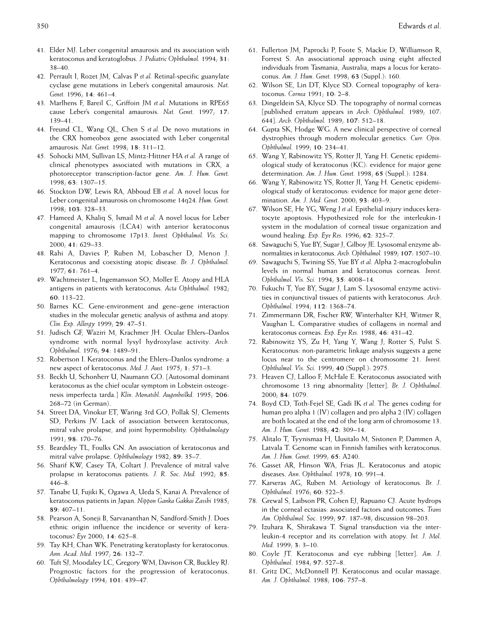- 41. Elder MJ. Leber congenital amaurosis and its association with keratoconus and keratoglobus. *J. Pediatric Ophthalmol.* 1994; **31**: 38–40.
- 42. Perrault I, Rozet JM, Calvas P *et al.* Retinal-specific guanylate cyclase gene mutations in Leber's congenital amaurosis. *Nat. Genet.* 1996; **14**: 461–4.
- 43. Marlhens F, Bareil C, Griffoin JM *et al.* Mutations in RPE65 cause Leber's congenital amaurosis. *Nat. Genet.* 1997; **17**: 139–41.
- 44. Freund CL, Wang QL, Chen S *et al.* De novo mutations in the CRX homeobox gene associated with Leber congenital amaurosis. *Nat. Genet.* 1998; **18**: 311–12.
- 45. Sohocki MM, Sullivan LS, Mintz-Hittner HA *et al.* A range of clinical phenotypes associated with mutations in CRX, a photoreceptor transcription-factor gene. *Am. J. Hum. Genet.* 1998; **63**: 1307–15.
- 46. Stockton DW, Lewis RA, Abboud EB *et al.* A novel locus for Leber congenital amaurosis on chromosome 14q24. *Hum. Genet.* 1998; **103**: 328–33.
- 47. Hameed A, Khaliq S, Ismail M *et al.* A novel locus for Leber congenital amaurosis (LCA4) with anterior keratoconus mapping to chromosome 17p13. *Invest. Ophthalmol. Vis. Sci.* 2000; **41**: 629–33.
- 48. Rahi A, Davies P, Ruben M, Lobascher D, Menon J. Keratoconus and coexisting atopic disease. *Br. J. Ophthalmol.* 1977; **61**: 761–4.
- 49. Wachtmeister L, Ingemansson SO, Moller E. Atopy and HLA antigens in patients with keratoconus. *Acta Ophthalmol.* 1982; **60**: 113–22.
- 50. Barnes KC. Gene-environment and gene–gene interaction studies in the molecular genetic analysis of asthma and atopy. *Clin. Exp. Allergy* 1999; **29**: 47–51.
- 51. Judisch GF, Waziri M, Krachmer JH. Ocular Ehlers–Danlos syndrome with normal lysyl hydroxylase activity. *Arch. Ophthalmol.* 1976; **94**: 1489–91.
- 52. Robertson I. Keratoconus and the Ehlers–Danlos syndrome: a new aspect of keratoconus. *Med. J. Aust.* 1975; **1**: 571–3.
- 53. Beckh U, Schonherr U, Naumann GO. [Autosomal dominant keratoconus as the chief ocular symptom in Lobstein osteogenesis imperfecta tarda.] *Klin. Monatsbl. Augenheilkd.* 1995; **206**: 268–72 (in German).
- 54. Street DA, Vinokur ET, Waring 3rd GO, Pollak SJ, Clements SD, Perkins JV. Lack of association between keratoconus, mitral valve prolapse, and joint hypermobility. *Ophthalmology* 1991; **98**: 170–76.
- 55. Beardsley TL, Foulks GN. An association of keratoconus and mitral valve prolapse. *Ophthalmology* 1982; **89**: 35–7.
- 56. Sharif KW, Casey TA, Coltart J. Prevalence of mitral valve prolapse in keratoconus patients. *J. R. Soc. Med.* 1992; **85**: 446–8.
- 57. Tanabe U, Fujiki K, Ogawa A, Ueda S, Kanai A. Prevalence of keratoconus patients in Japan. *Nippon Ganka Gakkai Zasshi* 1985; **89**: 407–11.
- 58. Pearson A, Soneji B, Sarvananthan N, Sandford-Smith J. Does ethnic origin influence the incidence or severity of keratoconus? *Eye* 2000; **14**: 625–8.
- 59. Tay KH, Chan WK. Penetrating keratoplasty for keratoconus. *Ann. Acad. Med.* 1997; **26**: 132–7.
- 60. Tuft SJ, Moodaley LC, Gregory WM, Davison CR, Buckley RJ. Prognostic factors for the progression of keratoconus. *Ophthalmology* 1994; **101**: 439–47.
- 61. Fullerton JM, Paprocki P, Foote S, Mackie D, Williamson R, Forrest S. An associational approach using eight affected individuals from Tasmania, Australia, maps a locus for keratoconus. *Am. J. Hum. Genet.* 1998; **63** (Suppl.): 160.
- 62. Wilson SE, Lin DT, Klyce SD. Corneal topography of keratoconus. *Cornea* 1991; **10**: 2–8.
- 63. Dingeldein SA, Klyce SD. The topography of normal corneas [published erratum appears in *Arch. Ophthalmol.* 1989; 107: 644]. *Arch. Ophthalmol.* 1989; **107**: 512–18.
- 64. Gupta SK, Hodge WG. A new clinical perspective of corneal dystrophies through modern molecular genetics. *Curr. Opin. Ophthalmol.* 1999; **10**: 234–41.
- 65. Wang Y, Rabinowitz YS, Rotter JI, Yang H. Genetic epidemiological study of keratoconus (KC): evidence for major gene determination. *Am. J. Hum. Genet.* 1998; **65** (Suppl.): 1284.
- 66. Wang Y, Rabinowitz YS, Rotter JI, Yang H. Genetic epidemiological study of keratoconus: evidence for major gene determination. *Am. J. Med. Genet.* 2000; **93**: 403–9.
- 67. Wilson SE, He YG, Weng J *et al.* Epithelial injury induces keratocyte apoptosis. Hypothesized role for the interleukin-1 system in the modulation of corneal tissue organization and wound healing. *Exp. Eye Res.* 1996; **62**: 325–7.
- 68. Sawaguchi S, Yue BY, Sugar J, Gilboy JE. Lysosomal enzyme abnormalities in keratoconus. *Arch. Ophthalmol.* 1989; **107**: 1507–10.
- 69. Sawaguchi S, Twining SS, Yue BY *et al.* Alpha 2-macroglobulin levels in normal human and keratoconus corneas. *Invest. Ophthalmol. Vis. Sci.* 1994; **35**: 4008–14.
- 70. Fukuchi T, Yue BY, Sugar J, Lam S. Lysosomal enzyme activities in conjunctival tissues of patients with keratoconus. *Arch. Ophthalmol.* 1994; **112**: 1368–74.
- 71. Zimmermann DR, Fischer RW, Winterhalter KH, Witmer R, Vaughan L. Comparative studies of collagens in normal and keratoconus corneas. *Exp. Eye Res.* 1988; **46**: 431–42.
- 72. Rabinowitz YS, Zu H, Yang Y, Wang J, Rotter S, Pulst S. Keratoconus: non-parametric linkage analysis suggests a gene locus near to the centromere on chromosome 21. *Invest. Ophthalmol. Vis. Sci.* 1999; **40** (Suppl.): 2975.
- 73. Heaven CJ, Lalloo F, McHale E. Keratoconus associated with chromosome 13 ring abnormality [letter]. *Br. J. Ophthalmol.* 2000; **84**: 1079.
- 74. Boyd CD, Toth-Fejel SE, Gadi IK *et al.* The genes coding for human pro alpha 1 (IV) collagen and pro alpha 2 (IV) collagen are both located at the end of the long arm of chromosome 13. *Am. J. Hum. Genet.* 1988; **42**: 309–14.
- 75. Alitalo T, Tyynismaa H, Uusitalo M, Sistonen P, Dammen A, Latvala T. Genome scan in Finnish families with keratoconus. *Am. J. Hum. Genet.* 1999; **65**: A240.
- 76. Gasset AR, Hinson WA, Frias JL. Keratoconus and atopic diseases. *Ann. Ophthalmol.* 1978; **10**: 991–4.
- 77. Karseras AG, Ruben M. Aetiology of keratoconus. *Br. J. Ophthalmol.* 1976; **60**: 522–5.
- 78. Grewal S, Laibson PR, Cohen EJ, Rapuano CJ. Acute hydrops in the corneal ectasias: associated factors and outcomes. *Trans Am. Ophthalmol. Soc.* 1999; **97**: 187–98; discussion 98–203.
- 79. Izuhara K, Shirakawa T. Signal transduction via the interleukin-4 receptor and its correlation with atopy. *Int. J. Mol. Med.* 1999; **3**: 3–10.
- 80. Coyle JT. Keratoconus and eye rubbing [letter]. *Am. J. Ophthalmol.* 1984; **97**: 527–8.
- 81. Gritz DC, McDonnell PJ. Keratoconus and ocular massage. *Am. J. Ophthalmol.* 1988; **106**: 757–8.